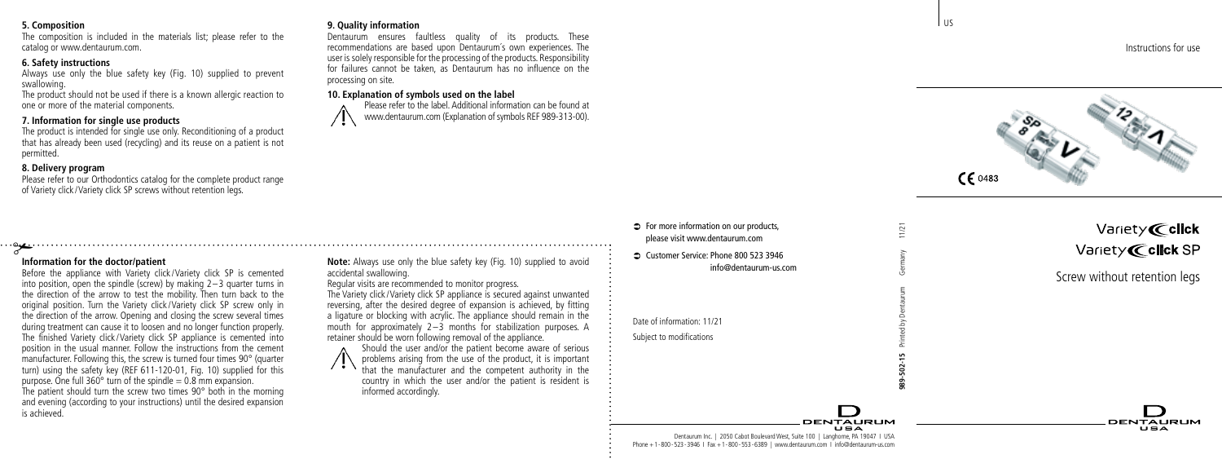#### **5. Composition**

The composition is included in the materials list; please refer to the catalog or www.dentaurum.com.

### **6. Safety instructions**

Always use only the blue safety key (Fig. 10) supplied to prevent swallowing.

The product should not be used if there is a known allergic reaction to one or more of the material components.

# **7. Information for single use products**

The product is intended for single use only. Reconditioning of a product that has already been used (recycling) and its reuse on a patient is not permitted.

# **8. Delivery program**

Please refer to our Orthodontics catalog for the complete product range of Variety click /Variety click SP screws without retention legs.

# # **Information for the doctor/patient**

Before the appliance with Variety click/Variety click SP is cemented into position, open the spindle (screw) by making 2–3 quarter turns in the direction of the arrow to test the mobility. Then turn back to the original position. Turn the Variety click /Variety click SP screw only in the direction of the arrow. Opening and closing the screw several times during treatment can cause it to loosen and no longer function properly. The finished Variety click /Variety click SP appliance is cemented into position in the usual manner. Follow the instructions from the cement manufacturer. Following this, the screw is turned four times 90° (quarter turn) using the safety key (REF 611-120-01, Fig. 10) supplied for this purpose. One full  $360^\circ$  turn of the spindle  $= 0.8$  mm expansion. The patient should turn the screw two times 90° both in the morning and evening (according to your instructions) until the desired expansion is achieved.

**Note:** Always use only the blue safety key (Fig. 10) supplied to avoid accidental swallowing.

Dentaurum ensures faultless quality of its products. These recommendations are based upon Dentaurum´s own experiences. The user is solely responsible for the processing of the products. Responsibility for failures cannot be taken, as Dentaurum has no influence on the

> Please refer to the label. Additional information can be found at www.dentaurum.com (Explanation of symbols REF 989-313-00).

#### Regular visits are recommended to monitor progress.

**10. Explanation of symbols used on the label**

**9. Quality information**

processing on site.

The Variety click /Variety click SP appliance is secured against unwanted reversing, after the desired degree of expansion is achieved, by fitting a ligature or blocking with acrylic. The appliance should remain in the mouth for approximately  $2-\overline{3}$  months for stabilization purposes. A retainer should be worn following removal of the appliance.

Should the user and/or the patient become aware of serious problems arising from the use of the product, it is important that the manufacturer and the competent authority in the country in which the user and/or the patient is resident is informed accordingly.

# $\Rightarrow$  For more information on our products, please visit www.dentaurum.com

Â Customer Service: Phone 800 523 3946

Date of information: 11/21



Subject to modifications



| Variety <b>@click</b>    |
|--------------------------|
| Variety <b>@click</b> SP |

**DENTALIBUM**  $\mathbf{H} = \mathbf{A}$ 

Screw without retention legs

Dentaurum Inc. | 2050 Cabot Boulevard West, Suite 100 | Langhorne, PA 19047 I USA Phone +1-800-523-3946 I Fax +1-800-553-6389 | www.dentaurum.com I info@dentaurum-us.com l us

**989-502-15** Printed by Dentaurum Germany 11/21

**DENTALIBUM** 

 $1/21$ 

Instructions for use